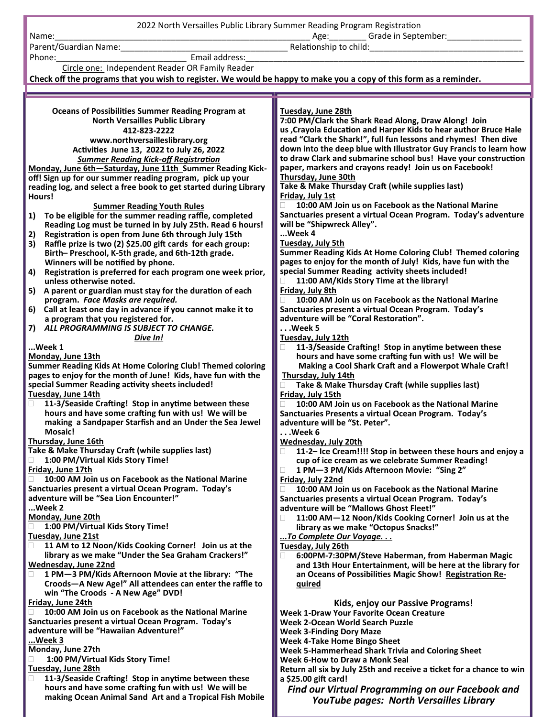**Oceans of Possibilities Summer Reading Program at North Versailles Public Library 412-823-2222 www.northversailleslibrary.org Activities June 13, 2022 to July 26, 2022** *Summer Reading Kick-off Registration* **Monday, June 6th—Saturday, June 11th Summer Reading Kickoff! Sign up for our summer reading program, pick up your reading log, and select a free book to get started during Library Hours! Summer Reading Youth Rules 1) To be eligible for the summer reading raffle, completed Reading Log must be turned in by July 25th. Read 6 hours! 2) Registration is open from June 6th through July 15th 3) Raffle prize is two (2) \$25.00 gift cards for each group: Birth– Preschool, K-5th grade, and 6th-12th grade. Winners will be notified by phone. 4) Registration is preferred for each program one week prior, unless otherwise noted. 5) A parent or guardian must stay for the duration of each program.** *Face Masks are required.* **6) Call at least one day in advance if you cannot make it to a program that you registered for. 7)** *ALL PROGRAMMING IS SUBJECT TO CHANGE. Dive In!* **...Week 1 Monday, June 13th Summer Reading Kids At Home Coloring Club! Themed coloring pages to enjoy for the month of June! Kids, have fun with the special Summer Reading activity sheets included! Tuesday, June 14th 11-3/Seaside Crafting! Stop in anytime between these hours and have some crafting fun with us! We will be making a Sandpaper Starfish and an Under the Sea Jewel Mosaic! Thursday, June 16th Take & Make Thursday Craft (while supplies last) 1:00 PM/Virtual Kids Story Time! Friday, June 17th 10:00 AM Join us on Facebook as the National Marine Sanctuaries present a virtual Ocean Program. Today's adventure will be "Sea Lion Encounter!" ...Week 2 Monday, June 20th 1:00 PM/Virtual Kids Story Time! Tuesday, June 21st 11 AM to 12 Noon/Kids Cooking Corner! Join us at the library as we make "Under the Sea Graham Crackers!" Wednesday, June 22nd 1 PM—3 PM/Kids Afternoon Movie at the library: "The Croods—A New Age!" All attendees can enter the raffle to win "The Croods - A New Age" DVD! Friday, June 24th 10:00 AM Join us on Facebook as the National Marine Sanctuaries present a virtual Ocean Program. Today's adventure will be "Hawaiian Adventure!" ...Week 3 Monday, June 27th 1:00 PM/Virtual Kids Story Time! Tuesday, June 28th 11-3/Seaside Crafting! Stop in anytime between these hours and have some crafting fun with us! We will be Tuesday, June 28th 7:00 PM/Clark the Shark Read Along, Draw Along! Join us ,Crayola Education and Harper Kids to hear author Bruce Hale read "Clark the Shark!", full fun lessons and rhymes! Then dive down into the deep blue with Illustrator Guy Francis to learn how to draw Clark and submarine school bus! Have your construction paper, markers and crayons ready! Join us on Facebook! Thursday, June 30th Take & Make Thursday Craft (while supplies last) Friday, July 1st 10:00 AM Join us on Facebook as the National Marine Sanctuaries present a virtual Ocean Program. Today's adventure will be "Shipwreck Alley". ...Week 4 Tuesday, July 5th Summer Reading Kids At Home Coloring Club! Themed coloring pages to enjoy for the month of July! Kids, have fun with the special Summer Reading activity sheets included! 11:00 AM/Kids Story Time at the library! Friday, July 8th 10:00 AM Join us on Facebook as the National Marine Sanctuaries present a virtual Ocean Program. Today's adventure will be "Coral Restoration". . . .Week 5 Tuesday, July 12th 11-3/Seaside Crafting! Stop in anytime between these hours and have some crafting fun with us! We will be Making a Cool Shark Craft and a Flowerpot Whale Craft! Thursday, July 14th Take & Make Thursday Craft (while supplies last) Friday, July 15th 10:00 AM Join us on Facebook as the National Marine Sanctuaries Presents a virtual Ocean Program. Today's adventure will be "St. Peter". . . .Week 6 Wednesday, July 20th 11-2– Ice Cream!!!! Stop in between these hours and enjoy a cup of ice cream as we celebrate Summer Reading! 1 PM—3 PM/Kids Afternoon Movie: "Sing 2" Friday, July 22nd 10:00 AM Join us on Facebook as the National Marine Sanctuaries presents a virtual Ocean Program. Today's adventure will be "Mallows Ghost Fleet!" 11:00 AM—12 Noon/Kids Cooking Corner! Join us at the library as we make "Octopus Snacks!"** *...To Complete Our Voyage. . .* **Tuesday, July 26th 6:00PM-7:30PM/Steve Haberman, from Haberman Magic and 13th Hour Entertainment, will be here at the library for an Oceans of Possibilities Magic Show! Registration Required Kids, enjoy our Passive Programs! Week 1-Draw Your Favorite Ocean Creature Week 2-Ocean World Search Puzzle Week 3-Finding Dory Maze Week 4-Take Home Bingo Sheet Week 5-Hammerhead Shark Trivia and Coloring Sheet Week 6-How to Draw a Monk Seal Return all six by July 25th and receive a ticket for a chance to win a \$25.00 gift card!** *Find our Virtual Programming on our Facebook and*  2022 North Versailles Public Library Summer Reading Program Registration Name:\_\_\_\_\_\_\_\_\_\_\_\_\_\_\_\_\_\_\_\_\_\_\_\_\_\_\_\_\_\_\_\_\_\_\_\_\_\_\_\_\_\_\_\_\_\_\_\_\_\_\_\_\_\_\_ Age:\_\_\_\_\_\_\_\_ Grade in September:\_\_\_\_\_\_\_\_\_\_\_\_\_\_\_\_ Parent/Guardian Name: etc. and the set of the set of the Relationship to child: Phone:\_\_\_\_\_\_\_\_\_\_\_\_\_\_\_\_\_\_\_\_\_\_\_\_\_\_\_\_ Email address:\_\_\_\_\_\_\_\_\_\_\_\_\_\_\_\_\_\_\_\_\_\_\_\_\_\_\_\_\_\_\_\_\_\_\_\_\_\_\_\_\_\_\_\_\_\_\_\_\_\_\_\_\_\_\_\_\_\_\_\_ Circle one: Independent Reader OR Family Reader **Check off the programs that you wish to register. We would be happy to make you a copy of this form as a reminder.**

 **making Ocean Animal Sand Art and a Tropical Fish Mobile**

## *YouTube pages: North Versailles Library*